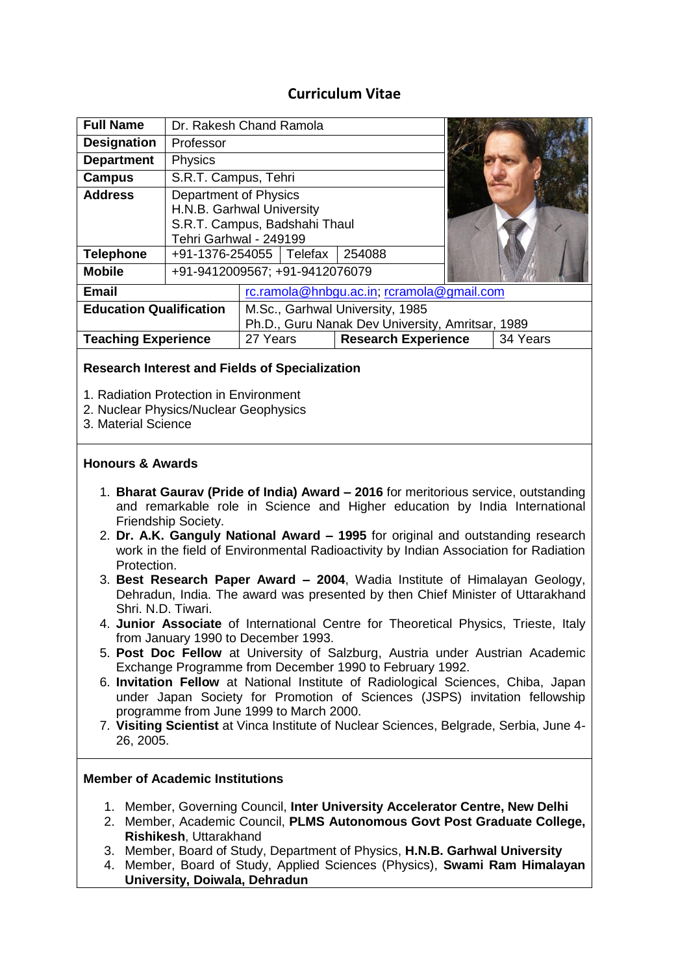## **Curriculum Vitae**

| <b>Full Name</b>               | Dr. Rakesh Chand Ramola                                                                                       |                                                                                     |  |                            |  |          |
|--------------------------------|---------------------------------------------------------------------------------------------------------------|-------------------------------------------------------------------------------------|--|----------------------------|--|----------|
| <b>Designation</b>             | Professor                                                                                                     |                                                                                     |  |                            |  |          |
| <b>Department</b>              | Physics                                                                                                       |                                                                                     |  |                            |  |          |
| <b>Campus</b>                  | S.R.T. Campus, Tehri                                                                                          |                                                                                     |  |                            |  |          |
| <b>Address</b>                 | Department of Physics<br>H.N.B. Garhwal University<br>S.R.T. Campus, Badshahi Thaul<br>Tehri Garhwal - 249199 |                                                                                     |  |                            |  |          |
| <b>Telephone</b>               | +91-1376-254055   Telefax                                                                                     |                                                                                     |  | 254088                     |  |          |
| <b>Mobile</b>                  | +91-9412009567; +91-9412076079                                                                                |                                                                                     |  |                            |  |          |
| <b>Email</b>                   |                                                                                                               | rc.ramola@hnbgu.ac.in; rcramola@gmail.com                                           |  |                            |  |          |
| <b>Education Qualification</b> |                                                                                                               | M.Sc., Garhwal University, 1985<br>Ph.D., Guru Nanak Dev University, Amritsar, 1989 |  |                            |  |          |
| <b>Teaching Experience</b>     |                                                                                                               | 27 Years                                                                            |  | <b>Research Experience</b> |  | 34 Years |

#### **Research Interest and Fields of Specialization**

- 1. Radiation Protection in Environment
- 2. Nuclear Physics/Nuclear Geophysics
- 3. Material Science

#### **Honours & Awards**

- 1. **Bharat Gaurav (Pride of India) Award – 2016** for meritorious service, outstanding and remarkable role in Science and Higher education by India International Friendship Society.
- 2. **Dr. A.K. Ganguly National Award – 1995** for original and outstanding research work in the field of Environmental Radioactivity by Indian Association for Radiation Protection.
- 3. **Best Research Paper Award – 2004**, Wadia Institute of Himalayan Geology, Dehradun, India. The award was presented by then Chief Minister of Uttarakhand Shri. N.D. Tiwari.
- 4. **Junior Associate** of International Centre for Theoretical Physics, Trieste, Italy from January 1990 to December 1993.
- 5. **Post Doc Fellow** at University of Salzburg, Austria under Austrian Academic Exchange Programme from December 1990 to February 1992.
- 6. **Invitation Fellow** at National Institute of Radiological Sciences, Chiba, Japan under Japan Society for Promotion of Sciences (JSPS) invitation fellowship programme from June 1999 to March 2000.
- 7. **Visiting Scientist** at Vinca Institute of Nuclear Sciences, Belgrade, Serbia, June 4- 26, 2005.

#### **Member of Academic Institutions**

- 1. Member, Governing Council, **Inter University Accelerator Centre, New Delhi**
- 2. Member, Academic Council, **PLMS Autonomous Govt Post Graduate College, Rishikesh**, Uttarakhand
- 3. Member, Board of Study, Department of Physics, **H.N.B. Garhwal University**
- 4. Member, Board of Study, Applied Sciences (Physics), **Swami Ram Himalayan University, Doiwala, Dehradun**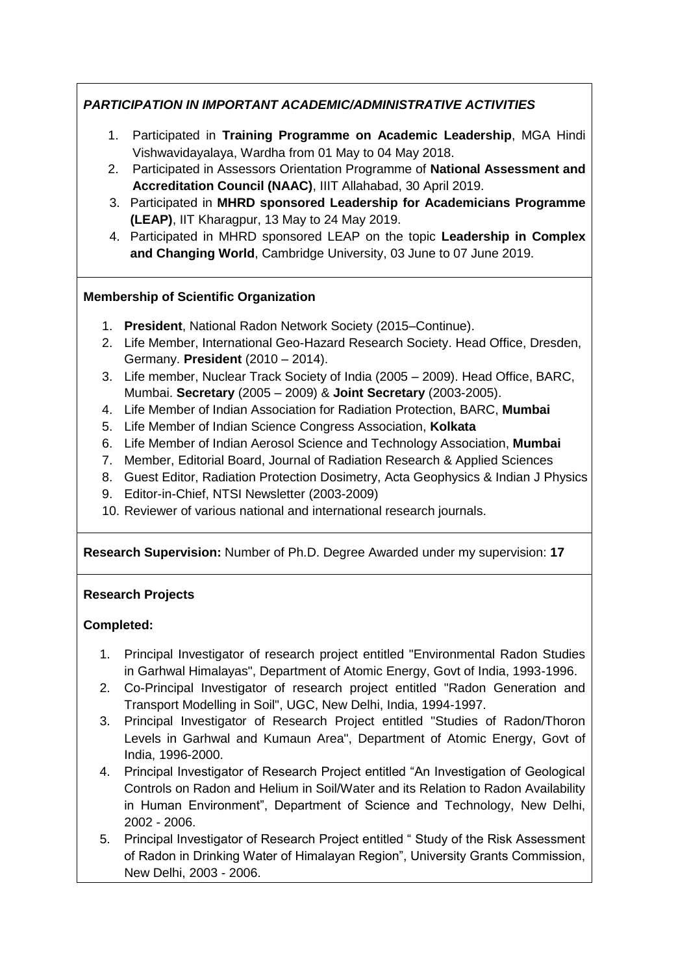## *PARTICIPATION IN IMPORTANT ACADEMIC/ADMINISTRATIVE ACTIVITIES*

- 1. Participated in **Training Programme on Academic Leadership**, MGA Hindi Vishwavidayalaya, Wardha from 01 May to 04 May 2018.
- 2. Participated in Assessors Orientation Programme of **National Assessment and Accreditation Council (NAAC)**, IIIT Allahabad, 30 April 2019.
- 3. Participated in **MHRD sponsored Leadership for Academicians Programme (LEAP)**, IIT Kharagpur, 13 May to 24 May 2019.
- 4. Participated in MHRD sponsored LEAP on the topic **Leadership in Complex and Changing World**, Cambridge University, 03 June to 07 June 2019.

## **Membership of Scientific Organization**

- 1. **President**, National Radon Network Society (2015–Continue).
- 2. Life Member, International Geo-Hazard Research Society. Head Office, Dresden, Germany. **President** (2010 – 2014).
- 3. Life member, Nuclear Track Society of India (2005 2009). Head Office, BARC, Mumbai. **Secretary** (2005 – 2009) & **Joint Secretary** (2003-2005).
- 4. Life Member of Indian Association for Radiation Protection, BARC, **Mumbai**
- 5. Life Member of Indian Science Congress Association, **Kolkata**
- 6. Life Member of Indian Aerosol Science and Technology Association, **Mumbai**
- 7. Member, Editorial Board, Journal of Radiation Research & Applied Sciences
- 8. Guest Editor, Radiation Protection Dosimetry, Acta Geophysics & Indian J Physics
- 9. Editor-in-Chief, NTSI Newsletter (2003-2009)
- 10. Reviewer of various national and international research journals.

#### **Research Supervision:** Number of Ph.D. Degree Awarded under my supervision: **17**

#### **Research Projects**

#### **Completed:**

- 1. Principal Investigator of research project entitled "Environmental Radon Studies in Garhwal Himalayas", Department of Atomic Energy, Govt of India, 1993-1996.
- 2. Co-Principal Investigator of research project entitled "Radon Generation and Transport Modelling in Soil", UGC, New Delhi, India, 1994-1997.
- 3. Principal Investigator of Research Project entitled "Studies of Radon/Thoron Levels in Garhwal and Kumaun Area", Department of Atomic Energy, Govt of India, 1996-2000.
- 4. Principal Investigator of Research Project entitled "An Investigation of Geological Controls on Radon and Helium in Soil/Water and its Relation to Radon Availability in Human Environment", Department of Science and Technology, New Delhi, 2002 - 2006.
- 5. Principal Investigator of Research Project entitled " Study of the Risk Assessment of Radon in Drinking Water of Himalayan Region", University Grants Commission, New Delhi, 2003 - 2006.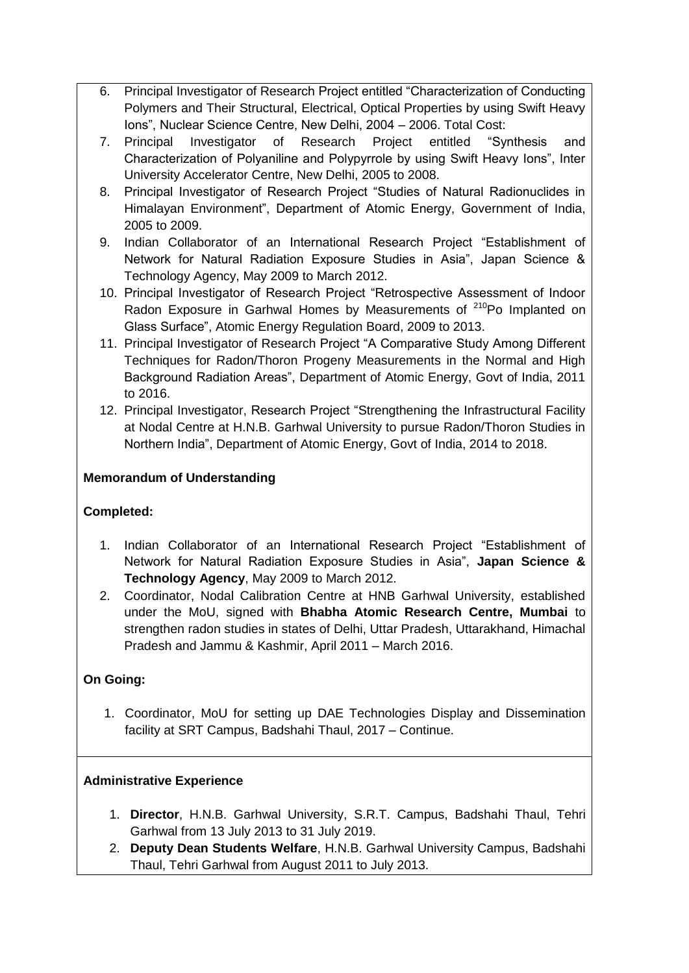- 6. Principal Investigator of Research Project entitled "Characterization of Conducting Polymers and Their Structural, Electrical, Optical Properties by using Swift Heavy Ions", Nuclear Science Centre, New Delhi, 2004 – 2006. Total Cost:
- 7. Principal Investigator of Research Project entitled "Synthesis and Characterization of Polyaniline and Polypyrrole by using Swift Heavy Ions", Inter University Accelerator Centre, New Delhi, 2005 to 2008.
- 8. Principal Investigator of Research Project "Studies of Natural Radionuclides in Himalayan Environment", Department of Atomic Energy, Government of India, 2005 to 2009.
- 9. Indian Collaborator of an International Research Project "Establishment of Network for Natural Radiation Exposure Studies in Asia", Japan Science & Technology Agency, May 2009 to March 2012.
- 10. Principal Investigator of Research Project "Retrospective Assessment of Indoor Radon Exposure in Garhwal Homes by Measurements of  $210P$  Implanted on Glass Surface", Atomic Energy Regulation Board, 2009 to 2013.
- 11. Principal Investigator of Research Project "A Comparative Study Among Different Techniques for Radon/Thoron Progeny Measurements in the Normal and High Background Radiation Areas", Department of Atomic Energy, Govt of India, 2011 to 2016.
- 12. Principal Investigator, Research Project "Strengthening the Infrastructural Facility at Nodal Centre at H.N.B. Garhwal University to pursue Radon/Thoron Studies in Northern India", Department of Atomic Energy, Govt of India, 2014 to 2018.

#### **Memorandum of Understanding**

#### **Completed:**

- 1. Indian Collaborator of an International Research Project "Establishment of Network for Natural Radiation Exposure Studies in Asia", **Japan Science & Technology Agency**, May 2009 to March 2012.
- 2. Coordinator, Nodal Calibration Centre at HNB Garhwal University, established under the MoU, signed with **Bhabha Atomic Research Centre, Mumbai** to strengthen radon studies in states of Delhi, Uttar Pradesh, Uttarakhand, Himachal Pradesh and Jammu & Kashmir, April 2011 – March 2016.

## **On Going:**

1. Coordinator, MoU for setting up DAE Technologies Display and Dissemination facility at SRT Campus, Badshahi Thaul, 2017 – Continue.

#### **Administrative Experience**

- 1. **Director**, H.N.B. Garhwal University, S.R.T. Campus, Badshahi Thaul, Tehri Garhwal from 13 July 2013 to 31 July 2019.
- 2. **Deputy Dean Students Welfare**, H.N.B. Garhwal University Campus, Badshahi Thaul, Tehri Garhwal from August 2011 to July 2013.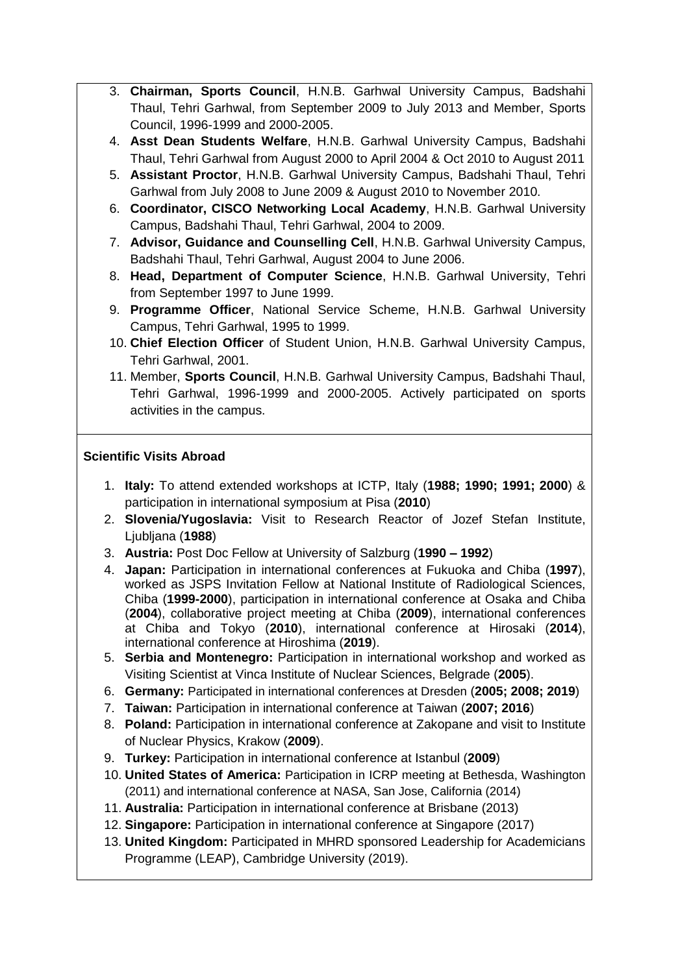- 3. **Chairman, Sports Council**, H.N.B. Garhwal University Campus, Badshahi Thaul, Tehri Garhwal, from September 2009 to July 2013 and Member, Sports Council, 1996-1999 and 2000-2005.
- 4. **Asst Dean Students Welfare**, H.N.B. Garhwal University Campus, Badshahi Thaul, Tehri Garhwal from August 2000 to April 2004 & Oct 2010 to August 2011
- 5. **Assistant Proctor**, H.N.B. Garhwal University Campus, Badshahi Thaul, Tehri Garhwal from July 2008 to June 2009 & August 2010 to November 2010.
- 6. **Coordinator, CISCO Networking Local Academy**, H.N.B. Garhwal University Campus, Badshahi Thaul, Tehri Garhwal, 2004 to 2009.
- 7. **Advisor, Guidance and Counselling Cell**, H.N.B. Garhwal University Campus, Badshahi Thaul, Tehri Garhwal, August 2004 to June 2006.
- 8. **Head, Department of Computer Science**, H.N.B. Garhwal University, Tehri from September 1997 to June 1999.
- 9. **Programme Officer**, National Service Scheme, H.N.B. Garhwal University Campus, Tehri Garhwal, 1995 to 1999.
- 10. **Chief Election Officer** of Student Union, H.N.B. Garhwal University Campus, Tehri Garhwal, 2001.
- 11. Member, **Sports Council**, H.N.B. Garhwal University Campus, Badshahi Thaul, Tehri Garhwal, 1996-1999 and 2000-2005. Actively participated on sports activities in the campus.

#### **Scientific Visits Abroad**

- 1. **Italy:** To attend extended workshops at ICTP, Italy (**1988; 1990; 1991; 2000**) & participation in international symposium at Pisa (**2010**)
- 2. **Slovenia/Yugoslavia:** Visit to Research Reactor of Jozef Stefan Institute, Ljubljana (**1988**)
- 3. **Austria:** Post Doc Fellow at University of Salzburg (**1990 – 1992**)
- 4. **Japan:** Participation in international conferences at Fukuoka and Chiba (**1997**), worked as JSPS Invitation Fellow at National Institute of Radiological Sciences, Chiba (**1999-2000**), participation in international conference at Osaka and Chiba (**2004**), collaborative project meeting at Chiba (**2009**), international conferences at Chiba and Tokyo (**2010**), international conference at Hirosaki (**2014**), international conference at Hiroshima (**2019**).
- 5. **Serbia and Montenegro:** Participation in international workshop and worked as Visiting Scientist at Vinca Institute of Nuclear Sciences, Belgrade (**2005**).
- 6. **Germany:** Participated in international conferences at Dresden (**2005; 2008; 2019**)
- 7. **Taiwan:** Participation in international conference at Taiwan (**2007; 2016**)
- 8. **Poland:** Participation in international conference at Zakopane and visit to Institute of Nuclear Physics, Krakow (**2009**).
- 9. **Turkey:** Participation in international conference at Istanbul (**2009**)
- 10. **United States of America:** Participation in ICRP meeting at Bethesda, Washington (2011) and international conference at NASA, San Jose, California (2014)
- 11. **Australia:** Participation in international conference at Brisbane (2013)
- 12. **Singapore:** Participation in international conference at Singapore (2017)
- 13. **United Kingdom:** Participated in MHRD sponsored Leadership for Academicians Programme (LEAP), Cambridge University (2019).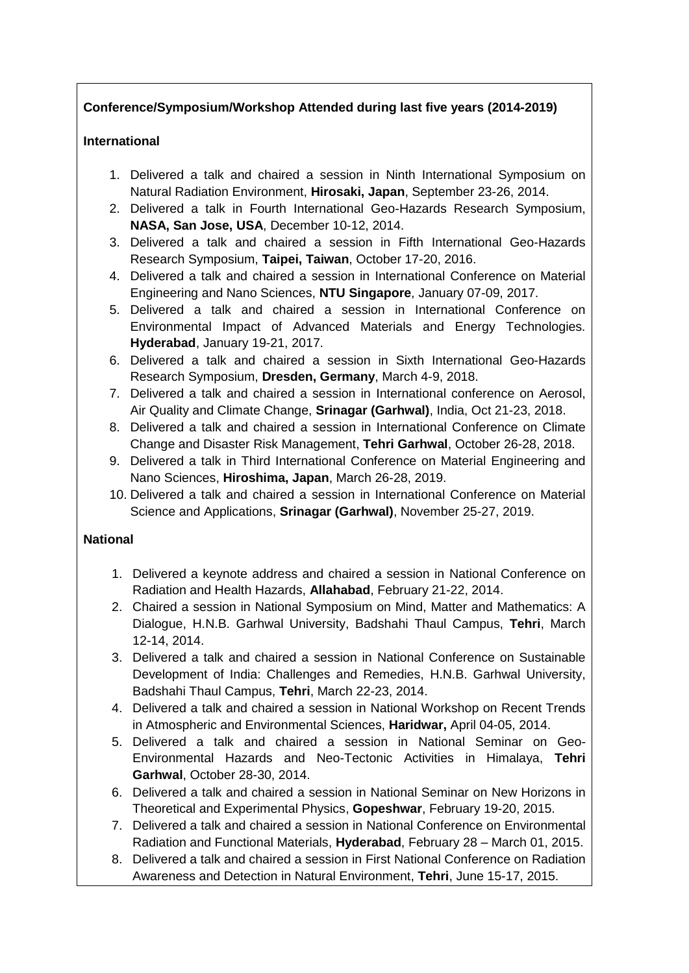## **Conference/Symposium/Workshop Attended during last five years (2014-2019)**

#### **International**

- 1. Delivered a talk and chaired a session in Ninth International Symposium on Natural Radiation Environment, **Hirosaki, Japan**, September 23-26, 2014.
- 2. Delivered a talk in Fourth International Geo-Hazards Research Symposium, **NASA, San Jose, USA**, December 10-12, 2014.
- 3. Delivered a talk and chaired a session in Fifth International Geo-Hazards Research Symposium, **Taipei, Taiwan**, October 17-20, 2016.
- 4. Delivered a talk and chaired a session in International Conference on Material Engineering and Nano Sciences, **NTU Singapore**, January 07-09, 2017.
- 5. Delivered a talk and chaired a session in International Conference on Environmental Impact of Advanced Materials and Energy Technologies. **Hyderabad**, January 19-21, 2017.
- 6. Delivered a talk and chaired a session in Sixth International Geo-Hazards Research Symposium, **Dresden, Germany**, March 4-9, 2018.
- 7. Delivered a talk and chaired a session in International conference on Aerosol, Air Quality and Climate Change, **Srinagar (Garhwal)**, India, Oct 21-23, 2018.
- 8. Delivered a talk and chaired a session in International Conference on Climate Change and Disaster Risk Management, **Tehri Garhwal**, October 26-28, 2018.
- 9. Delivered a talk in Third International Conference on Material Engineering and Nano Sciences, **Hiroshima, Japan**, March 26-28, 2019.
- 10. Delivered a talk and chaired a session in International Conference on Material Science and Applications, **Srinagar (Garhwal)**, November 25-27, 2019.

#### **National**

- 1. Delivered a keynote address and chaired a session in National Conference on Radiation and Health Hazards, **Allahabad**, February 21-22, 2014.
- 2. Chaired a session in National Symposium on Mind, Matter and Mathematics: A Dialogue, H.N.B. Garhwal University, Badshahi Thaul Campus, **Tehri**, March 12-14, 2014.
- 3. Delivered a talk and chaired a session in National Conference on Sustainable Development of India: Challenges and Remedies, H.N.B. Garhwal University, Badshahi Thaul Campus, **Tehri**, March 22-23, 2014.
- 4. Delivered a talk and chaired a session in National Workshop on Recent Trends in Atmospheric and Environmental Sciences, **Haridwar,** April 04-05, 2014.
- 5. Delivered a talk and chaired a session in National Seminar on Geo-Environmental Hazards and Neo-Tectonic Activities in Himalaya, **Tehri Garhwal**, October 28-30, 2014.
- 6. Delivered a talk and chaired a session in National Seminar on New Horizons in Theoretical and Experimental Physics, **Gopeshwar**, February 19-20, 2015.
- 7. Delivered a talk and chaired a session in National Conference on Environmental Radiation and Functional Materials, **Hyderabad**, February 28 – March 01, 2015.
- 8. Delivered a talk and chaired a session in First National Conference on Radiation Awareness and Detection in Natural Environment, **Tehri**, June 15-17, 2015.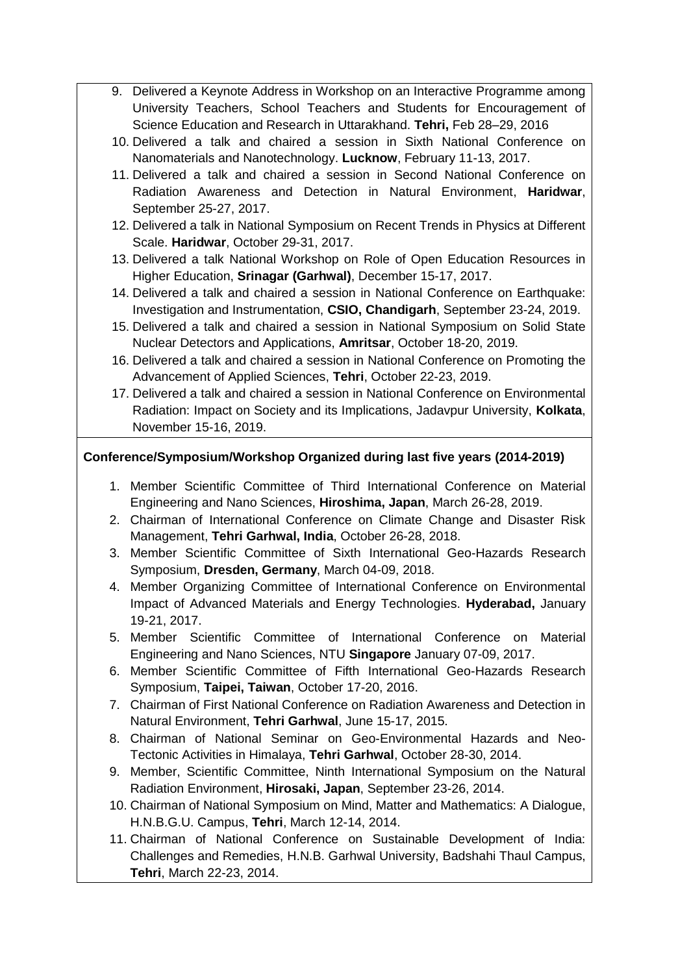- 9. Delivered a Keynote Address in Workshop on an Interactive Programme among University Teachers, School Teachers and Students for Encouragement of Science Education and Research in Uttarakhand. **Tehri,** Feb 28–29, 2016
- 10. Delivered a talk and chaired a session in Sixth National Conference on Nanomaterials and Nanotechnology. **Lucknow**, February 11-13, 2017.
- 11. Delivered a talk and chaired a session in Second National Conference on Radiation Awareness and Detection in Natural Environment, **Haridwar**, September 25-27, 2017.
- 12. Delivered a talk in National Symposium on Recent Trends in Physics at Different Scale. **Haridwar**, October 29-31, 2017.
- 13. Delivered a talk National Workshop on Role of Open Education Resources in Higher Education, **Srinagar (Garhwal)**, December 15-17, 2017.
- 14. Delivered a talk and chaired a session in National Conference on Earthquake: Investigation and Instrumentation, **CSIO, Chandigarh**, September 23-24, 2019.
- 15. Delivered a talk and chaired a session in National Symposium on Solid State Nuclear Detectors and Applications, **Amritsar**, October 18-20, 2019.
- 16. Delivered a talk and chaired a session in National Conference on Promoting the Advancement of Applied Sciences, **Tehri**, October 22-23, 2019.
- 17. Delivered a talk and chaired a session in National Conference on Environmental Radiation: Impact on Society and its Implications, Jadavpur University, **Kolkata**, November 15-16, 2019.

#### **Conference/Symposium/Workshop Organized during last five years (2014-2019)**

- 1. Member Scientific Committee of Third International Conference on Material Engineering and Nano Sciences, **Hiroshima, Japan**, March 26-28, 2019.
- 2. Chairman of International Conference on Climate Change and Disaster Risk Management, **Tehri Garhwal, India**, October 26-28, 2018.
- 3. Member Scientific Committee of Sixth International Geo-Hazards Research Symposium, **Dresden, Germany**, March 04-09, 2018.
- 4. Member Organizing Committee of International Conference on Environmental Impact of Advanced Materials and Energy Technologies. **Hyderabad,** January 19-21, 2017.
- 5. Member Scientific Committee of International Conference on Material Engineering and Nano Sciences, NTU **Singapore** January 07-09, 2017.
- 6. Member Scientific Committee of Fifth International Geo-Hazards Research Symposium, **Taipei, Taiwan**, October 17-20, 2016.
- 7. Chairman of First National Conference on Radiation Awareness and Detection in Natural Environment, **Tehri Garhwal**, June 15-17, 2015.
- 8. Chairman of National Seminar on Geo-Environmental Hazards and Neo-Tectonic Activities in Himalaya, **Tehri Garhwal**, October 28-30, 2014.
- 9. Member, Scientific Committee, Ninth International Symposium on the Natural Radiation Environment, **Hirosaki, Japan**, September 23-26, 2014.
- 10. Chairman of National Symposium on Mind, Matter and Mathematics: A Dialogue, H.N.B.G.U. Campus, **Tehri**, March 12-14, 2014.
- 11. Chairman of National Conference on Sustainable Development of India: Challenges and Remedies, H.N.B. Garhwal University, Badshahi Thaul Campus, **Tehri**, March 22-23, 2014.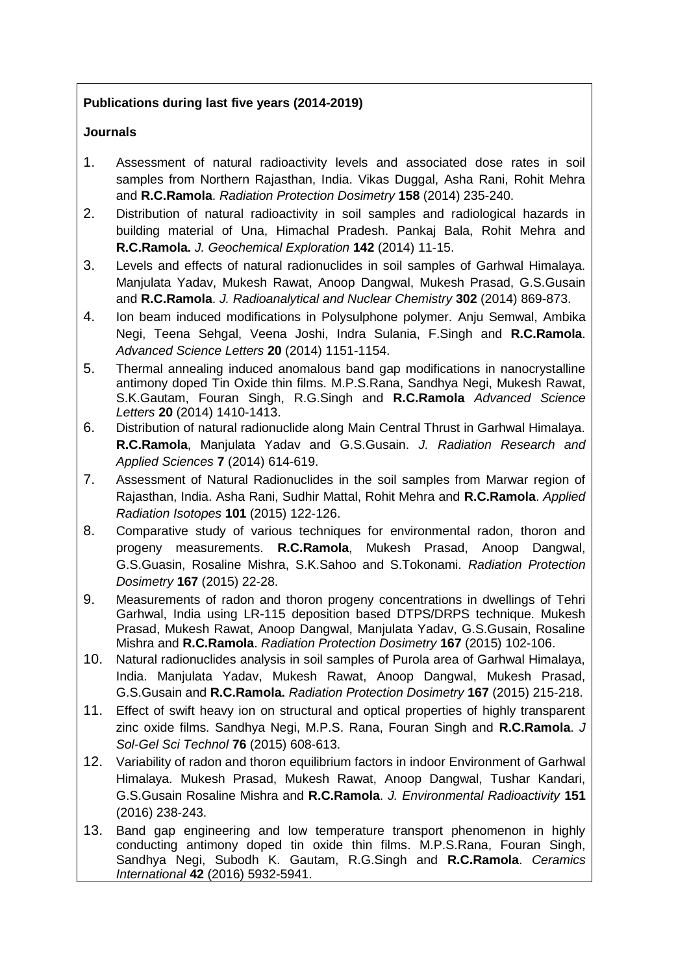## **Publications during last five years (2014-2019)**

## **Journals**

- 1. Assessment of natural radioactivity levels and associated dose rates in soil samples from Northern Rajasthan, India. Vikas Duggal, Asha Rani, Rohit Mehra and **R.C.Ramola**. *Radiation Protection Dosimetry* **158** (2014) 235-240.
- 2. Distribution of natural radioactivity in soil samples and radiological hazards in building material of Una, Himachal Pradesh. Pankaj Bala, Rohit Mehra and **R.C.Ramola.** *J. Geochemical Exploration* **142** (2014) 11-15.
- 3. Levels and effects of natural radionuclides in soil samples of Garhwal Himalaya. Manjulata Yadav, Mukesh Rawat, Anoop Dangwal, Mukesh Prasad, G.S.Gusain and **R.C.Ramola**. *J. Radioanalytical and Nuclear Chemistry* **302** (2014) 869-873.
- 4. Ion beam induced modifications in Polysulphone polymer. Anju Semwal, Ambika Negi, Teena Sehgal, Veena Joshi, Indra Sulania, F.Singh and **R.C.Ramola**. *Advanced Science Letters* **20** (2014) 1151-1154.
- 5. Thermal annealing induced anomalous band gap modifications in nanocrystalline antimony doped Tin Oxide thin films. M.P.S.Rana, Sandhya Negi, Mukesh Rawat, S.K.Gautam, Fouran Singh, R.G.Singh and **R.C.Ramola** *Advanced Science Letters* **20** (2014) 1410-1413.
- 6. Distribution of natural radionuclide along Main Central Thrust in Garhwal Himalaya. **R.C.Ramola**, Manjulata Yadav and G.S.Gusain. *J. Radiation Research and Applied Sciences* **7** (2014) 614-619.
- 7. Assessment of Natural Radionuclides in the soil samples from Marwar region of Rajasthan, India. Asha Rani, Sudhir Mattal, Rohit Mehra and **R.C.Ramola**. *Applied Radiation Isotopes* **101** (2015) 122-126.
- 8. Comparative study of various techniques for environmental radon, thoron and progeny measurements. **R.C.Ramola**, Mukesh Prasad, Anoop Dangwal, G.S.Guasin, Rosaline Mishra, S.K.Sahoo and S.Tokonami. *Radiation Protection Dosimetry* **167** (2015) 22-28.
- 9. Measurements of radon and thoron progeny concentrations in dwellings of Tehri Garhwal, India using LR-115 deposition based DTPS/DRPS technique. Mukesh Prasad, Mukesh Rawat, Anoop Dangwal, Manjulata Yadav, G.S.Gusain, Rosaline Mishra and **R.C.Ramola**. *Radiation Protection Dosimetry* **167** (2015) 102-106.
- 10. Natural radionuclides analysis in soil samples of Purola area of Garhwal Himalaya, India. Manjulata Yadav, Mukesh Rawat, Anoop Dangwal, Mukesh Prasad, G.S.Gusain and **R.C.Ramola.** *Radiation Protection Dosimetry* **167** (2015) 215-218.
- 11. Effect of swift heavy ion on structural and optical properties of highly transparent zinc oxide films. Sandhya Negi, M.P.S. Rana, Fouran Singh and **R.C.Ramola**. *J Sol-Gel Sci Technol* **76** (2015) 608-613.
- 12. Variability of radon and thoron equilibrium factors in indoor Environment of Garhwal Himalaya. Mukesh Prasad, Mukesh Rawat, Anoop Dangwal, Tushar Kandari, G.S.Gusain Rosaline Mishra and **R.C.Ramola**. *J. Environmental Radioactivity* **151** (2016) 238-243.
- 13. [Band gap engineering and low temperature transport phenomenon in highly](http://www.sciencedirect.com/science/article/pii/S0272884215024396)  [conducting antimony doped tin oxide thin films.](http://www.sciencedirect.com/science/article/pii/S0272884215024396) M.P.S.Rana, Fouran Singh, Sandhya Negi, Subodh K. Gautam, R.G.Singh and **R.C.Ramola**. *Ceramics International* **42** (2016) 5932-5941.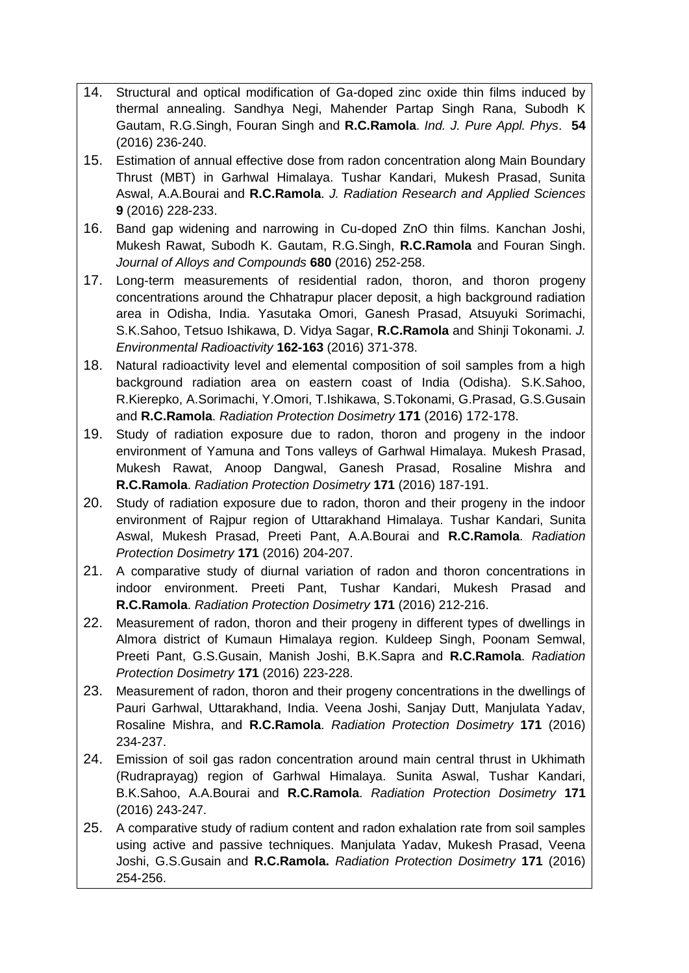- 14. Structural and optical modification of Ga-doped zinc oxide thin films induced by thermal annealing. Sandhya Negi, Mahender Partap Singh Rana, Subodh K Gautam, R.G.Singh, Fouran Singh and **R.C.Ramola**. *Ind. J. Pure Appl. Phys*. **54** (2016) 236-240.
- 15. Estimation of annual effective dose from radon concentration along Main Boundary Thrust (MBT) in Garhwal Himalaya. Tushar Kandari, Mukesh Prasad, Sunita Aswal, A.A.Bourai and **R.C.Ramola**. *J. Radiation Research and Applied Sciences* **9** (2016) 228-233.
- 16. Band gap widening and narrowing in Cu-doped ZnO thin films. Kanchan Joshi, Mukesh Rawat, Subodh K. Gautam, R.G.Singh, **R.C.Ramola** and Fouran Singh. *Journal of Alloys and Compounds* **680** (2016) 252-258.
- 17. Long-term measurements of residential radon, thoron, and thoron progeny concentrations around the Chhatrapur placer deposit, a high background radiation area in Odisha, India. Yasutaka Omori, Ganesh Prasad, Atsuyuki Sorimachi, S.K.Sahoo, Tetsuo Ishikawa, D. Vidya Sagar, **R.C.Ramola** and Shinji Tokonami. *J. Environmental Radioactivity* **162-163** (2016) 371-378.
- 18. Natural radioactivity level and elemental composition of soil samples from a high background radiation area on eastern coast of India (Odisha). S.K.Sahoo, R.Kierepko, A.Sorimachi, Y.Omori, T.Ishikawa, S.Tokonami, G.Prasad, G.S.Gusain and **R.C.Ramola**. *Radiation Protection Dosimetry* **171** (2016) 172-178.
- 19. Study of radiation exposure due to radon, thoron and progeny in the indoor environment of Yamuna and Tons valleys of Garhwal Himalaya. Mukesh Prasad, Mukesh Rawat, Anoop Dangwal, Ganesh Prasad, Rosaline Mishra and **R.C.Ramola**. *Radiation Protection Dosimetry* **171** (2016) 187-191.
- 20. Study of radiation exposure due to radon, thoron and their progeny in the indoor environment of Rajpur region of Uttarakhand Himalaya. Tushar Kandari, Sunita Aswal, Mukesh Prasad, Preeti Pant, A.A.Bourai and **R.C.Ramola**. *Radiation Protection Dosimetry* **171** (2016) 204-207.
- 21. A comparative study of diurnal variation of radon and thoron concentrations in indoor environment. Preeti Pant, Tushar Kandari, Mukesh Prasad and **R.C.Ramola**. *Radiation Protection Dosimetry* **171** (2016) 212-216.
- 22. Measurement of radon, thoron and their progeny in different types of dwellings in Almora district of Kumaun Himalaya region. Kuldeep Singh, Poonam Semwal, Preeti Pant, G.S.Gusain, Manish Joshi, B.K.Sapra and **R.C.Ramola**. *Radiation Protection Dosimetry* **171** (2016) 223-228.
- 23. Measurement of radon, thoron and their progeny concentrations in the dwellings of Pauri Garhwal, Uttarakhand, India. Veena Joshi, Sanjay Dutt, Manjulata Yadav, Rosaline Mishra, and **R.C.Ramola**. *Radiation Protection Dosimetry* **171** (2016) 234-237.
- 24. Emission of soil gas radon concentration around main central thrust in Ukhimath (Rudraprayag) region of Garhwal Himalaya. Sunita Aswal, Tushar Kandari, B.K.Sahoo, A.A.Bourai and **R.C.Ramola**. *Radiation Protection Dosimetry* **171** (2016) 243-247.
- 25. A comparative study of radium content and radon exhalation rate from soil samples using active and passive techniques. Manjulata Yadav, Mukesh Prasad, Veena Joshi, G.S.Gusain and **R.C.Ramola.** *Radiation Protection Dosimetry* **171** (2016) 254-256.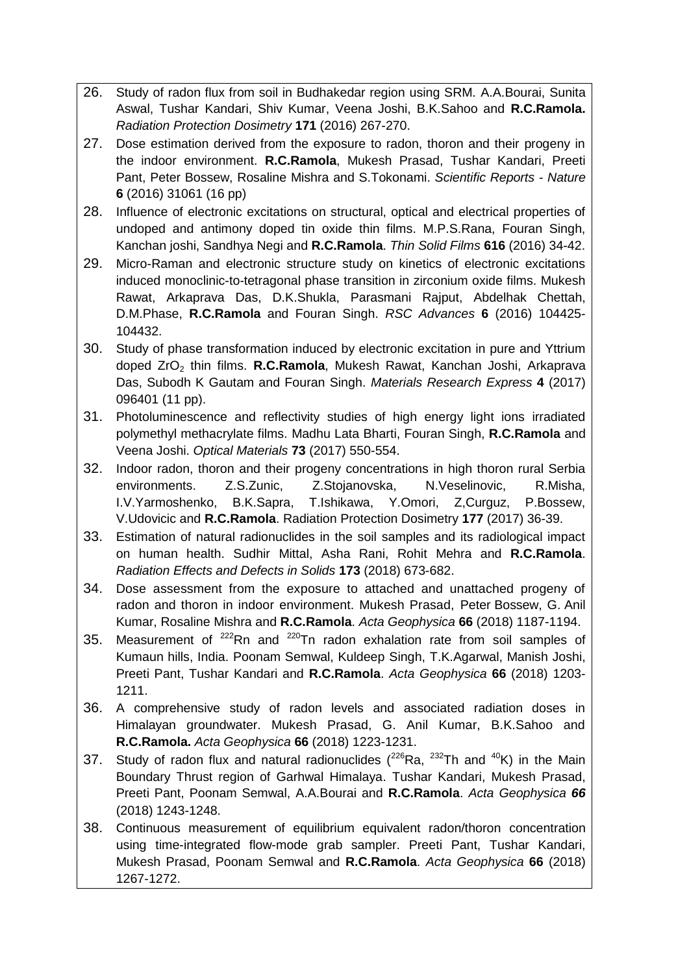- 26. Study of radon flux from soil in Budhakedar region using SRM. A.A.Bourai, Sunita Aswal, Tushar Kandari, Shiv Kumar, Veena Joshi, B.K.Sahoo and **R.C.Ramola.** *Radiation Protection Dosimetry* **171** (2016) 267-270.
- 27. Dose estimation derived from the exposure to radon, thoron and their progeny in the indoor environment. **R.C.Ramola**, Mukesh Prasad, Tushar Kandari, Preeti Pant, Peter Bossew, Rosaline Mishra and S.Tokonami. *Scientific Reports - Nature* **6** (2016) 31061 (16 pp)
- 28. Influence of electronic excitations on structural, optical and electrical properties of undoped and antimony doped tin oxide thin films. M.P.S.Rana, Fouran Singh, Kanchan joshi, Sandhya Negi and **R.C.Ramola**. *Thin Solid Films* **616** (2016) 34-42.
- 29. Micro-Raman and electronic structure study on kinetics of electronic excitations induced monoclinic-to-tetragonal phase transition in zirconium oxide films. Mukesh Rawat, Arkaprava Das, D.K.Shukla, Parasmani Rajput, Abdelhak Chettah, D.M.Phase, **R.C.Ramola** and Fouran Singh. *RSC Advances* **6** (2016) 104425- 104432.
- 30. Study of phase transformation induced by electronic excitation in pure and Yttrium doped ZrO<sup>2</sup> thin films. **R.C.Ramola**, Mukesh Rawat, Kanchan Joshi, Arkaprava Das, Subodh K Gautam and Fouran Singh. *Materials Research Express* **4** (2017) 096401 (11 pp).
- 31. Photoluminescence and reflectivity studies of high energy light ions irradiated polymethyl methacrylate films. Madhu Lata Bharti, Fouran Singh, **R.C.Ramola** and Veena Joshi. *Optical Materials* **73** (2017) 550-554.
- 32. Indoor radon, thoron and their progeny concentrations in high thoron rural Serbia environments. Z.S.Zunic, Z.Stojanovska, N.Veselinovic, R.Misha, I.V.Yarmoshenko, B.K.Sapra, T.Ishikawa, Y.Omori, Z,Curguz, P.Bossew, V.Udovicic and **R.C.Ramola**. Radiation Protection Dosimetry **177** (2017) 36-39.
- 33. Estimation of natural radionuclides in the soil samples and its radiological impact on human health. Sudhir Mittal, Asha Rani, Rohit Mehra and **R.C.Ramola**. *Radiation Effects and Defects in Solids* **173** (2018) 673-682.
- 34. Dose assessment from the exposure to attached and unattached progeny of radon and thoron in indoor environment. Mukesh Prasad, Peter Bossew, G. Anil Kumar, Rosaline Mishra and **R.C.Ramola**. *Acta Geophysica* **66** (2018) 1187-1194.
- 35. Measurement of  $222$ Rn and  $220$ Tn radon exhalation rate from soil samples of Kumaun hills, India. Poonam Semwal, Kuldeep Singh, T.K.Agarwal, Manish Joshi, Preeti Pant, Tushar Kandari and **R.C.Ramola**. *Acta Geophysica* **66** (2018) 1203- 1211.
- 36. A comprehensive study of radon levels and associated radiation doses in Himalayan groundwater. Mukesh Prasad, G. Anil Kumar, B.K.Sahoo and **R.C.Ramola.** *Acta Geophysica* **66** (2018) 1223-1231.
- 37. Study of radon flux and natural radionuclides  $(^{226}Ra, ^{232}Th$  and  $^{40}K)$  in the Main Boundary Thrust region of Garhwal Himalaya. Tushar Kandari, Mukesh Prasad, Preeti Pant, Poonam Semwal, A.A.Bourai and **R.C.Ramola**. *Acta Geophysica 66* (2018) 1243-1248.
- 38. Continuous measurement of equilibrium equivalent radon/thoron concentration using time-integrated flow-mode grab sampler. Preeti Pant, Tushar Kandari, Mukesh Prasad, Poonam Semwal and **R.C.Ramola**. *Acta Geophysica* **66** (2018) 1267-1272.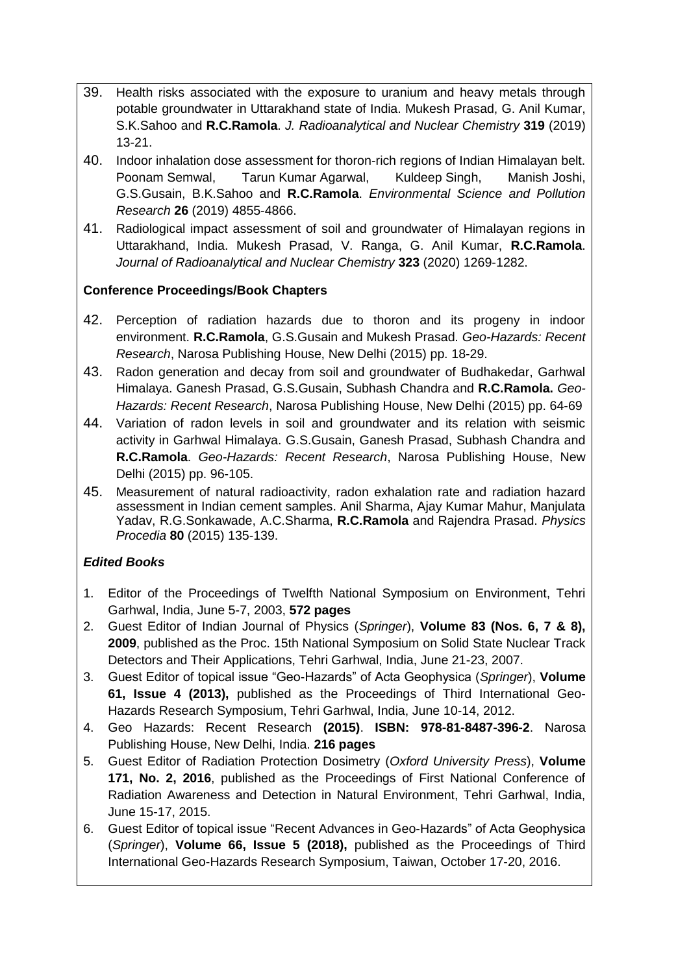- 39. Health risks associated with the exposure to uranium and heavy metals through potable groundwater in Uttarakhand state of India. Mukesh Prasad, G. Anil Kumar, S.K.Sahoo and **R.C.Ramola**. *J. Radioanalytical and Nuclear Chemistry* **319** (2019) 13-21.
- 40. Indoor inhalation dose assessment for thoron-rich regions of Indian Himalayan belt. Poonam Semwal, Tarun Kumar Agarwal, Kuldeep Singh, Manish Joshi, G.S.Gusain, B.K.Sahoo and **R.C.Ramola**. *Environmental Science and Pollution Research* **26** (2019) 4855-4866.
- 41. Radiological impact assessment of soil and groundwater of Himalayan regions in Uttarakhand, India. Mukesh Prasad, V. Ranga, G. Anil Kumar, **R.C.Ramola**. *Journal of Radioanalytical and Nuclear Chemistry* **323** (2020) 1269-1282.

#### **Conference Proceedings/Book Chapters**

- 42. Perception of radiation hazards due to thoron and its progeny in indoor environment. **R.C.Ramola**, G.S.Gusain and Mukesh Prasad. *Geo-Hazards: Recent Research*, Narosa Publishing House, New Delhi (2015) pp. 18-29.
- 43. Radon generation and decay from soil and groundwater of Budhakedar, Garhwal Himalaya. Ganesh Prasad, G.S.Gusain, Subhash Chandra and **R.C.Ramola.** *Geo-Hazards: Recent Research*, Narosa Publishing House, New Delhi (2015) pp. 64-69
- 44. Variation of radon levels in soil and groundwater and its relation with seismic activity in Garhwal Himalaya. G.S.Gusain, Ganesh Prasad, Subhash Chandra and **R.C.Ramola**. *Geo-Hazards: Recent Research*, Narosa Publishing House, New Delhi (2015) pp. 96-105.
- 45. Measurement of natural radioactivity, radon exhalation rate and radiation hazard assessment in Indian cement samples. Anil Sharma, Ajay Kumar Mahur, Manjulata Yadav, R.G.Sonkawade, A.C.Sharma, **R.C.Ramola** and Rajendra Prasad. *Physics Procedia* **80** (2015) 135-139.

#### *Edited Books*

- 1. Editor of the Proceedings of Twelfth National Symposium on Environment, Tehri Garhwal, India, June 5-7, 2003, **572 pages**
- 2. Guest Editor of Indian Journal of Physics (*Springer*), **Volume 83 (Nos. 6, 7 & 8), 2009**, published as the Proc. 15th National Symposium on Solid State Nuclear Track Detectors and Their Applications, Tehri Garhwal, India, June 21-23, 2007.
- 3. Guest Editor of topical issue "Geo-Hazards" of Acta Geophysica (*Springer*), **Volume 61, Issue 4 (2013),** published as the Proceedings of Third International Geo-Hazards Research Symposium, Tehri Garhwal, India, June 10-14, 2012.
- 4. Geo Hazards: Recent Research **(2015)**. **ISBN: 978-81-8487-396-2**. Narosa Publishing House, New Delhi, India. **216 pages**
- 5. Guest Editor of Radiation Protection Dosimetry (*Oxford University Press*), **Volume 171, No. 2, 2016**, published as the Proceedings of First National Conference of Radiation Awareness and Detection in Natural Environment, Tehri Garhwal, India, June 15-17, 2015.
- 6. Guest Editor of topical issue "Recent Advances in Geo-Hazards" of Acta Geophysica (*Springer*), **Volume 66, Issue 5 (2018),** published as the Proceedings of Third International Geo-Hazards Research Symposium, Taiwan, October 17-20, 2016.